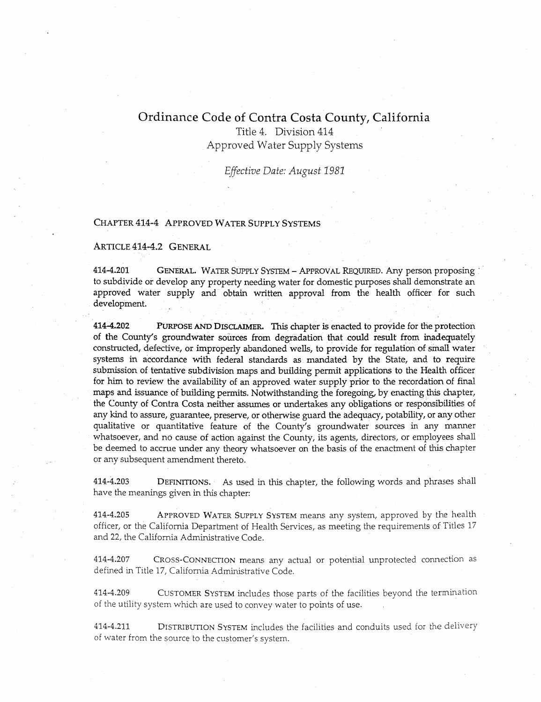# Ordinance Code of Contra Costa County, California

Title 4. Division 414 Approved Water Supply Systems

*Effective Date: August 1981* 

# CHAPTER 414-4 APPROVED WATER SUPPLY SYSTEMS

#### ARTICLE 414-4.2 GENERAL

414-4.201 GENERAL. WATER SUPPLY SYSTEM - APPROVAL REQUIRED. Any person proposing to subdivide or develop any property needing water for domestic purposes shall demonstrate an approved water supply and obtain written approval from the health officer for such development.

414-4.202 PURPOSE AND DISCLAIMER. This chapter is enacted to provide for the protection of the County's groundwater sources from degradation that could result from inadequately constructed, defective, or improperly abandoned wells, to provide for regulation of small water systems in accordance with federal standards as mandated by the State, and to require submission of tentative subdivision maps and building permit applications to the Health officer for him to review the availability of an approved water supply prior to the recordation of final maps and issuance of building permits. Notwithstanding the foregoing, by enacting this chapter, the County of Contra Costa neither assumes or undertakes any obligations or responsibilities of any kind to assure, guarantee, preserve, or otherwise guard the adequacy, potability, or any other qualitative or quantitative feature of the County's groundwater sources in any manner whatsoever, and no cause of action against the County, its agents, directors, or employees shall be deemed to accrue under any theory whatsoever on the basis of the enactment of this chapter or any subsequent amendment thereto.

414-4.203 DEFINITIONS. · As used in this chapter, the following words and phrases shall have the meanings given in this chapter:

414-4.205 APPROVED WATER SUPPLY SYSTEM means any system, approved by the health officer, or the California Department of Health Services, as meeting the requirements of Titles 17 and 22, the California Administrative Code.

414-4.207 CROSS-CONNECTION means any actual or potential unprotected connection as defined in Title 17, California Administrative Code.

414-4.209 CUSTOMER SYSTEM includes those parts of the facilities beyond the termination of the utility system which are used to convey water to points of use.

414-4.211 DISTRIBUTION SYSTEM includes the facilities and conduits used for the delivery of water from the source to the customer's system.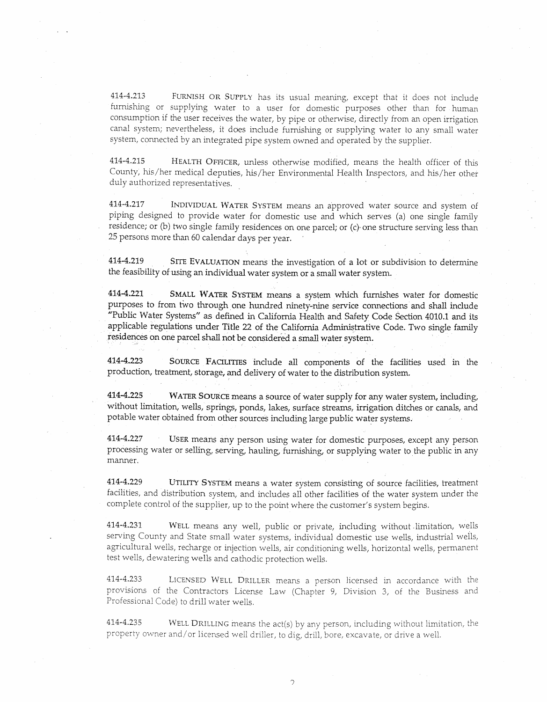414-4.213 FURNISH OR SUPPLY has its usual meaning, except that it does not include furnishing or supplying water to a user for domestic purposes other than for human consumption if the user receives the water, by pipe or otherwise, directly from an open irrigation canal system; nevertheless, it does include furnishing or supplying water to any small water system, connected by an integrated pipe system owned and operated by the supplier.

414-4.215 HEALTH OFFICER, unless otherwise modified, means the health officer of this County, his/her medical deputies, his/her Environmental Health Inspectors, and his/her other duly authorized representatives.

414-4.217 INDIVIDUAL WATER SYSTEM means an approved water source and system of piping designed to provide water for domestic use and which serves (a) one single family residence; or (b) two single family residences on one parcel; or (c)· one structure serving less than 25 persons more than 60 calendar days per year.

414-4.219 SITE EVALUATION means the investigation of a lot or subdivision to determine the feasibility of using an individual water system or a small water system.

414-4.221 SMALL WATER SYSTEM means a system which furnishes water for domestic purposes to from two through one hundred ninety-nine service connections and shall include #Public Water Systems" as defined in California Health and Safety Code Section 4010.1 and its applicable regulations under Title 22 of the California Administrative Code. Two single family residences on one parcel shall not be considered a small water system.

414-4.223 SOURCE FACILITIES include all components of the facilities used in the production, treatment, storage, and delivery of water to the distribution system.

414-4.225 WATER SOURCE means a source of water supply for any water system, induding, without limitation, wells, springs, ponds, lakes, surface streams, irrigation ditches or canals, and potable water obtained from other sources including large public water systems.

414-4.227 USER means any person using water for domestic purposes, except any person processing water or selling, serving, hauling, furnishing, or supplying water to the public in any manner.

414-4.229 UTILITY SYSTEM means a water system consisting of source facilities, treatment facilities, and distribution system, and includes all other facilities of the water system under the complete control of the supplier, up to the point where the customer's system begins.

414-4.231 WELL means any well, public or private, including without limitation, wells serving County and State small water systems, individual domestic use wells, industrial wells, agricultural wells, recharge or injection wells, air conditioning wells, horizontal wells, permanent test wells, dewatering wells and cathodic protection wells.

414-4.233 LICENSED WELL DRILLER means a person licensed in accordance with the provisions of the Contractors License Law (Chapter 9, Division 3, of the Business and Professional Code) to drill water wells.

414-4.235 WELL DRILLING means the act(s) by any person, including without limitation, the property owner and/ or licensed well driller, to dig, drill, bore, excavate, or drive a well.

C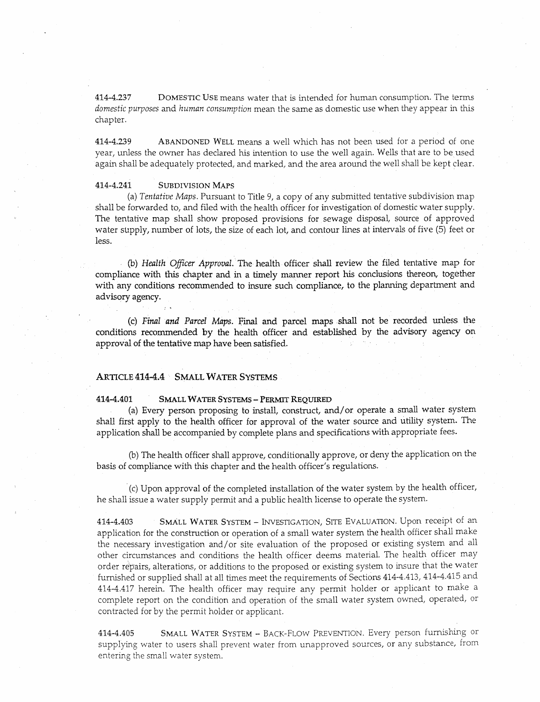414-4.237 DOMESTIC USE means water that is intended for human consumption. The terms *domestic purposes* and *human consumption* mean the same as domestic use when they appear in this chapter.

414-4.239 ABANDONED WELL means a well which has not been used for a period of one year, unless the owner has declared his intention to use the well again. Wells that are to be used again shall be adequately protected, and marked, and the area around the well shall be kept clear.

#### 414-4.241 SUBDIVISION MAPS

(a) *Tentative Maps.* Pursuant to Title 9, a copy of any submitted tentative subdivision map shall be forwarded to, and filed with the health officer for investigation of domestic water supply. The tentative map shall show proposed provisions for sewage disposal, source of approved water supply, number of lots, the size of each lot, and contour lines at intervals of five (5) feet or less.

(b) *Health Officer Approval.* The health. officer shall review the filed tentative map for compliance with this chapter and in a timely manner report his conclusions thereon, together with any conditions recommended to insure such compliance, to the planning department and advisory agency.

(c) *Final and Parcel Maps*. Final and parcel maps shall not be recorded unless the conditions recommended by the health officer and established by the advisory agency on approval of the tentative map have been satisfied.

## ARTICLE 414-4.4 SMALL WATER SYSTEMS

#### 414-4.401 SMALL WATER SYSTEMS - PERMIT REQUIRED

(a) Every person proposing to install, construct, and/ or operate a small water system shall first apply to the health officer for approval of the water source and utility system. The application shall be accompanied by complete plans and specifications with appropriate fees.

(b) The health officer shall approve, conditionally approve, or deny the application on the basis of compliance with this chapter and the health officer's regulations.

· (c) Upon approval of the completed installation of the water system by the health officer, he shall issue a water supply permit and a public health license to operate the system.

414-4.403 SMALL WATER SYSTEM - lNVESTIGATION, SITE EVALUATION. Upon receipt of an application for the construction or operation of a small water system the health officer shall make the necessary investigation and/or site evaluation of the proposed or existing system and all other circumstances and conditions the health officer deems material. The health officer may order repairs, alterations, or additions to the proposed or existing system to insure that the water furnished or supplied shall at all times meet the requirements of Sections 414-4.413, 414-4.415 and 414-4.417 herein. The health officer may require any permit holder or applicant to make a complete report on the condition and operation of the small water system owned, operated, or contracted for by the permit holder or applicant.

414-4.405 SMALL WATER SYSTEM - BACK-FLOW PREVENTION. Every person furnishing or supplying water to users shall prevent water from unapproved sources, or any substance, from entering the small water system.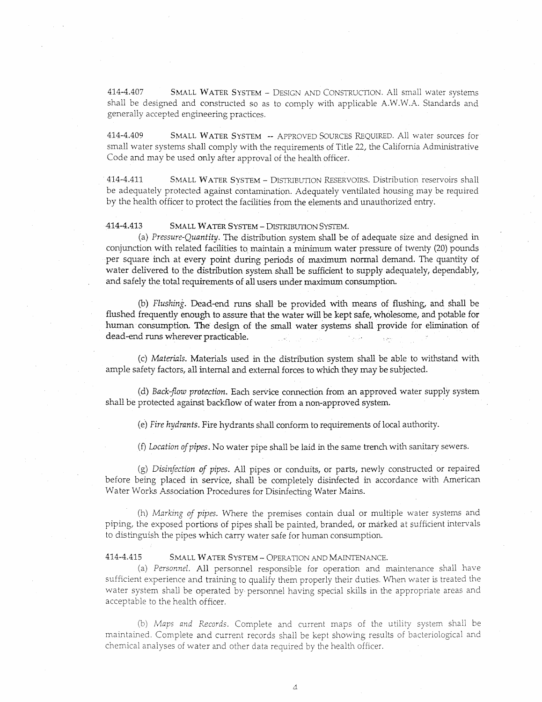414-4.407 SMALL WATER SYSTEM - DESIGN AND CONSTRUCTION. All small water systems shall be designed and constructed so as to comply with applicable A.W.W.A. Standards and generally accepted engineering practices.

414-4.409 SMALL WATER SYSTEM -- APPROVED SoURCES REQUIRED. All water sources for small water systems shall comply with the requirements of Title 22, the California Administrative Code and may be used only after approval of the health officer.

414-4.411 SMALL WATER SYSTEM - DISTRIBUTION RESERVOIRS. Distribution reservoirs shall be adequately protected against contamination. Adequately ventilated housing may be required by the health officer to protect the facilities from the elements and unauthorized entry.

#### 414-4.413 SMALL WATER SYSTEM - DISTRIBUTION SYsrEM.

(a) *Pressure-Quantity.* The distribution system shall be of adequate size and designed in conjunction with related facilities to maintain a minimum water pressure of twenty (20) pounds per square inch at every point during periods of maximum normal demand. The quantity of water delivered to the distribution system shall be sufficient to supply adequately, dependably, and safely the total requirements of all users under maximum consumption.

(b) *Flushing*. Dead-end runs shall be provided with means of flushing, and shall be flushed frequently enough to assure that the water will be kept safe, wholesome, and potable for human. consumption. The design of the small water systems shall provide for elimination of dead-end runs wherever practicable.

(c) *Materials.* Materials used in the distribution system shall be able to withstand with ample safety factors, all internal and external forces to which they may be subjected.

(d) *Back-flow protection*. Each service connection from an approved water supply system shall be protected against backflow of water from a non-approved system.

(e) *Fire hydrants.* Fire hydrants shall conform to requirements of local authority.

(£) *Location of pipes.* No water pipe shall be laid in the same trench with sanitary sewers.

(g) *Disinfection of pipes.* All pipes or conduits, or parts, newly constructed or repaired before being placed in service, shall be completely disinfected in accordance with American Water Works Association Procedures for Disinfecting Water Mains.

(h) *Marking of pipes.* Where the premises contain dual or multiple water systems and piping, the exposed portions of pipes shall be painted, branded, or marked at sufficient intervals to distinguish the pipes which carry water safe for human consumption.

#### 414-4.415 SMALL WATER SYSTEM - OPERATION AND MAINTENANCE.

(a) *Personnel.* All personnel responsible for operation and maintenance shall .have sufficient experience and training to qualify them properly their duties. When water is treated the water system shall be operated by personnel having special skills in the appropriate areas and acceptable to the health officer.

(b) *Maps and Records.* Complete and current maps of the utility system shall be maintained. Complete and current records shall be kept showing results of bacteriological and chemical analyses of water and other data required by the health officer.

 $\Lambda$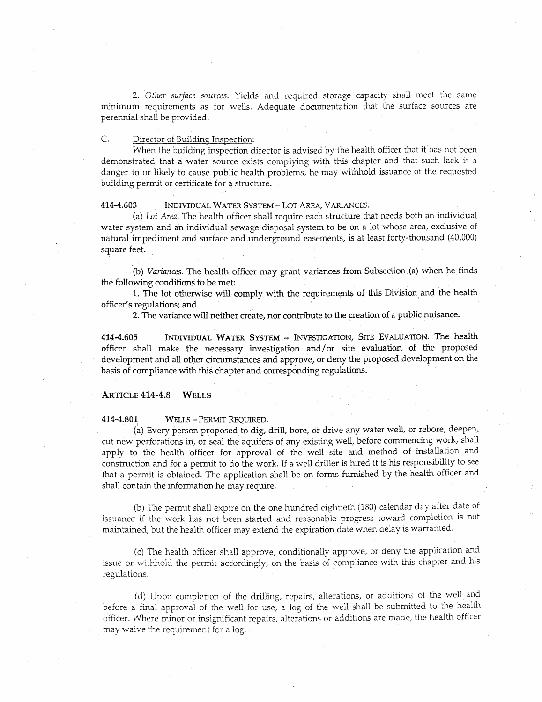2. *Other surface sources.* Yields and required storage capacity shall meet the same minimum requirements as for wells. Adequate documentation that the surface sources are perermial shall be provided.

## C. Director of Building Inspection:

When the building inspection director is advised by the health officer that it has not been demonstrated that a water source exists complying with this chapter and that such lack is a danger to or likely to cause public health problems, he may withhold issuance of the requested building permit or certificate for a structure.

### 414-4.603 INDIVIDUAL WATER SYSTEM - LOT AREA, VARIANCES.

(a) *Lot Area.* The health officer shall require each structure that needs both an individual water system and an individual sewage disposal system to be on a lot whose area, exclusive of natural impediment and surface and underground easements, is at least forty-thousand (40,000) square feet.

(b) *Variances.* The health officer may grant variances from Subsection (a) when he finds the following conditions to be met:

1. The lot otherwise will comply with the requirements of this Division. and the health officer's regulations; and

2. The variance will neither create, nor contribute to the creation of a public nuisance.

414-4.605 INDIVIDUAL WATER SYSTEM - INVESTIGATION, STTE EVALUATION. The health officer shall make the necessary investigation and/or site evaluation of the proposed development and all other circumstances and approve, or deny the proposed development on the basis of compliance with this chapter and corresponding regulations.

### ARTICLE 414-4.8 WELLS

### 414-4.801 WELLS - PERMIT REQUIRED.

(a) Every person proposed to dig, drill, bore, or drive any water well, or rebore, deepen, cut new perforations in, or seal the aquifers of any existing well, before commencing work, shall apply to the health officer for approval of the well site and method of installation and construction and for a permit to do the work. If a well driller is hired it is his responsibility to see that a permit is obtained. The application shall be on forms furnished by the health officer and shall contain the information he may require.

(b) The permit shall expire on the one hundred eightieth (180) calendar day after date of issuance if the work has not been started and reasonable progress toward completion is not maintained, but the health officer may extend the expiration date when delay is warranted.

(c) The health officer shall approve, conditionally approve, or deny the application and issue or withhold the permit accordingly, on the basis of compliance with this chapter and his regulations.

(d) Upon completion of the drilling, repairs, alterations, or additions of the well and before a final approval of the well for use, a log of the well shall be submitted to the health officer. Where minor or insignificant repairs, alterations or additions are made, the health officer may waive the requirement for a log.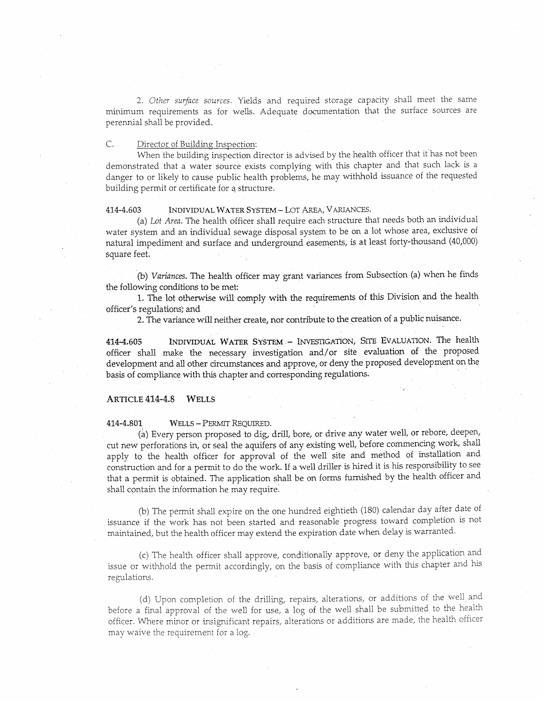2. *Other surface sources.* Yields and required storage capacity shall meet the same minimum requirements as for wells. Adequate documentation that the surface sources are perennial shall be provided.

# C. Director of Building Inspection:

When the building inspection director is advised by the health officer that it has not been demonstrated that a water source exists complying with this chapter and that such lack is a danger to or likely to cause public health problems, he may withhold issuance of the requested building permit or certificate for a structure.

#### 414-4.603 INDIVIDUAL WATER SYSTEM- LoT AREA, V ARlANCES.

(a) *Lot Area.* The health officer shall require each structure that needs both an individual water system and an individual sewage disposal system to be on a lot whose area, exclusive of natural impediment and surface and underground easements, is at least forty-thousand (40,000) square feet.

(b) *Variances.* The health officer may grant variances from Subsection (a) when hefinds the following conditions to be met:

1. The lot otherwise will comply with the requirements of this Division and the health officer's regulations; and

2. The variance will neither create, nor contribute to the creation of a public nuisance.

414-4.605 INDIVIDUAL WATER SYSTEM - lNVFSTIGATION, SITE EVALUATION. The health officer shall make the necessary investigation and/or site evaluation of the proposed development and all other circumstances and approve, or deny the proposed development on the basis of compliance with this chapter and corresponding regulations.

## ARTICLE 414-4.8 WELLS

414-4.801 WELLS - PERMIT REQUIRED.

(a) Every person proposed to dig, drill, bore, or drive any water well, or rebore, deepen, cut new perforations in, or seal the aquifers of any existing well, before commencing work, shall apply to the health officer for approval of the well site and method of installation and construction and for a permit to do the work. If a well driller is hired it is his responsibility to see that a permit is obtained. The application shaH be on forms furnished by the health officer and shall contain the information he may require.

(b) The permit shall expire on the one hundred eightieth (180) calendar day after date of issuance if the work has not been started and reasonable progress toward completion is not maintained, but the health officer may extend the expiration date when delay is warranted.

(c) The health officer shall approve, conditionally approve, or deny the application and issue or withhold the permit accordingly, on the basis of compliance with this chapter and his regulations.

(d) Upon completion of the drilling, repairs, alterations, or additions of the well and before a final approval of the well for use, a log of the well shall be submitted to the health officer. VYhere minor or insignificant repairs, alterations or additions are made, the health officer may waive the requirement for a log.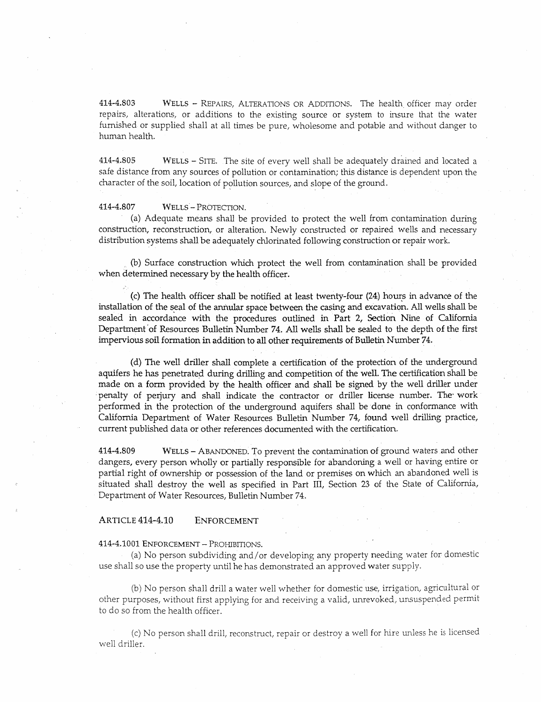414-4.803 WELLS - REPAIRS, ALTERATIONS OR ADDffiONS. The health officer may order repairs, alterations, or additions to the existing source or system to insure that the water furnished or supplied shall at all times be pure, wholesome and potable and without danger to human health.

414-4.805 WELLS - SITE. The site of every well shall be adequately drained and located a safe distance from any sources of pollution or contamination; this distance is dependent upon the character of the soil, location of pollution sources, and slope of the ground.

### 414-4.807 WELLS- PROTECTION.

(a) Adequate means shall be provided to protect the well from contamination during construction, reconstruction, or alteration. Newly constructed or repaired wells and necessary distribution systems shall be adequately chlorinated following construction or repair work.

(b) Surface construction which protect the well from contamination shall be provided when determined necessary by the health officer.

(c) The health officer shall be notified at least twenty-four (24) hours in advance of the installation of the seal of the annular space between the casing and excavation. All wells shall be sealed in accordance with the procedures outlined in Part 2, Section Nine of California Department of Resources Bulletin Number 74. All wells shall be sealed to the depth of the first impervious soil formation in addition to all other requirements of Bulletin Number 74.

(d) The well driller shall complete a certification of the protection of the underground aquifers he has penetrated during drilling and competition of the well. The certification shall be made on a form provided by the health officer and shall be signed by the well driller under penalty of perjury and shall indicate the contractor or driller license number. The work performed in the protection of the underground aquifers shall be done in conformance with California Department of Water Resources Bulletin Number 74, found well drilling practice, current published data or other references documented with the certification.

414-4.809 WELLS - ABANOONED. To prevent the contamination of ground waters and other dangers, every person wholly or partially responsible for abandoning a well or having entire or partial right of ownership or possession of the land or premises on which an abandoned well is situated shall destroy the well as specified in Part III, Section 23 of the State of California, Department of Water Resources, Bulletin Number 74.

### ARTICLE 414-4.10 ENFORCEMENT

#### 414-4.1001 ENFORCEMENT- PROHIBITIONS.

(a) No person subdividing and/ or developing any property needing water for domestic use shall so use the property until he has demonstrated an approved water supply.

(b) No person shall drill a water well whether for domestic use, irrigation, agricultural or other purposes, without first applying for and receiving a valid, unrevoked, unsuspended permit to do so from the health officer.

(c) No person shall drill, reconstruct, repair or destroy a well for hire unless he is licensed well driller.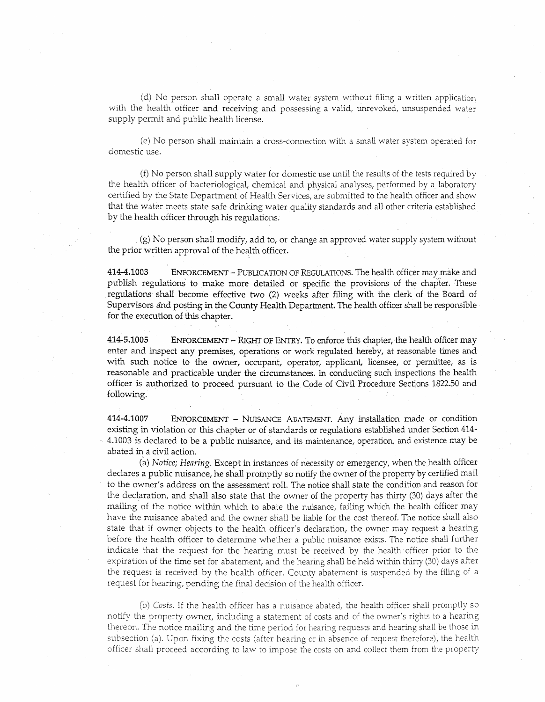(d) No person shall operate a small water system without filing a written application with the health officer and receiving and possessing a valid, unrevoked, unsuspended water supply permit and public health license.

(e) No person shall maintain a cross-connection with a small water system operated for domestic use.

(f) No person shall supply water for domestic use until the results of the tests required by the health officer of bacteriological, chemical and physical analyses, performed by a laboratory certified by the State Department of Health Services, are submitted to the health officer and show that the water meets state safe drinking water quality standards and all other criteria established by the health officer through his regulations.

(g) No person shall modify, add to, or change an approved water supply system without the prior written approval of the health officer.

414-4.1003 ENFORCEMENT-PUBLICATION OF REGULATIONS. The health officer rnaymake and publish regulations to make more detailed or specific the provisions of the chapter. These regulations shall become effective two (2) weeks after filing with the clerk of the Board of Supervisors and posting in the County Health Department. The health officer shall be responsible for the execution of this chapter.

414-5.1005 ENFORCEMENT - RIGHT OF ENTRY. To enforce this chapter, the health officer may enter and inspect any premises, operations or work regulated hereby, at reasonable times and with such notice to the owner, occupant, operator, applicant, licensee, or permittee, as is reasonable and practicable under the circumstances. In conducting such inspections the health officer is authorized to proceed pursuant to the Code of Civil Procedure Sections 1822.50 and .following.

414-4.1007 ENFORCEMENT - NIBSANCE ABATEMENT. Any installation made or condition existing in violation or this chapter or of standards or regulations established under Section 414- 4.1003 is declared to be a public nuisance, and its maintenance, operation, and existence may be abated in a civil action.

(a) *Notice; Hearing.* Except in instances of necessity or emergency, when the health officer declares a public nuisance, he shall promptly so notify the owner of the property by certified mail to the owner's address on the assessment roll. The notice shall state the condition and reason for the declaration, and shall also state that the owner of the property has thirty (30) days after the mailing of the notice within which to abate the nuisance, failing which the health officer may have the nuisance abated and the owner shall be liable for the cost thereof. The notice shall also state that if owner objects to the health officer's declaration, the owner may request a hearing before the health officer to determine whether a public nuisance exists. The notice shall further indicate that the request for the hearing must be received by the health officer prior to the expiration of the time set for abatement, and the hearing shall be held within thirty (30) days after the request is received by the health officer. County abatement is suspended by the filing of a request for hearing, pending the final decision of the health officer.

(b) *Costs.* If the health officer has a nuisance abated, the health officer shall promptly so notify the property owner, including a statement of costs and of the owner's rights to a hearing thereon. The notice mailing and the time period for hearing requests and hearing shall be those in subsection (a). Upon fixing the costs (after hearing or in absence of request therefore), the health officer shall proceed according to law to impose the costs on and collect them from the property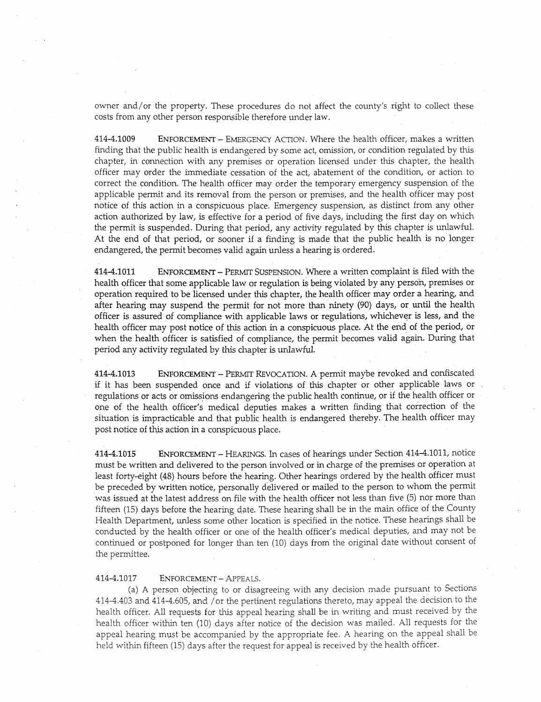owner and/or the property. These procedures do not affect the county's right to collect these costs from any other person responsible therefore under law.

414-4.1009 ENFORCEMENT - EMERGENCY ACTION. Where the health officer, makes a written finding that the public health is endangered by some act, omission, or condition regulated by this chapter, in connection with any premises or operation licensed under this chapter, the health officer may order the immediate cessation of the act, abatement of the condition, or action to correct the condition. The health officer may order the temporary emergency suspension of the applicable permit and its removal from the person or premises, and the health officer may post notice of this action in a conspicuous place. Emergency suspension, as distinct from any other action authorized by law, is effective for a period of five days, including the first day on which the permit is suspended. During that period, any activity regulated by this chapter is unlawful. At the end of that period, or sooner if a finding is made that the public health is no longer endangered, the permit becomes valid again unless a hearing is ordered.

414-4.1011 ENFORCEMENT- PERMIT SUSPENSION. Where a written complaint is filed with the health officer that some applicable law or regulation is being violated by any person, premises or operation required to be licensed under this chapter, the health officer may order a hearing, and after hearing may suspend the permit for not more than ninety (90) days, or until the health officer is assured of compliance with applicable laws or regulations, whichever is less, and the health officer may post notice of this action in a conspicuous place. At the end\_ of the period, or when the health officer is satisfied of compliance, the permit becomes valid again. During that period any activity regulated by this chapter is unlawful.

414-4.1013 ENFORCEMENT - PERMIT REVOCATION. A permit maybe revoked and confiscated if it has been suspended once and if violations of this chapter or other applicable laws or regulations or acts or omissions endangering the public health continue, or if the health officer or one of the health officer's medical deputies makes a written finding that correction of the situation is impracticable and that public health is endangered thereby. The health officer may post notice of this action in a conspicuous place.

414-4.1015 ENFORCEMENT - HEARINGS. In cases of hearings under Section 414-4.1011, notice must be written and delivered to the person involved or in charge of the premises or operation at least forty-eight (48) hours before the hearing. Other hearings ordered by the health officer must be preceded by written notice, personally delivered or mailed to the person to whom the permit was issued at the latest address on file with the health officer not less than five (5) nor more than fifteen (15) days before the hearing date. These hearing shall be in the main office of the County Health Department, unless some other location is specified in the notice. These hearings shall be conducted by the health officer or one of the health officer's medical deputies, and may not be continued or postponed for longer than ten (10) days from the original date without consent of the permittee.

#### 414-4.1017 ENFORCEMENT- APPEALS.

(a) A person objecting to or disagreeing with any decision made pursuant to Sections 414-4.403 and 414-4.605, and /or the pertinent regulations thereto, may appeal the decision to the health officer. All requests for this appeal hearing shall be in writing and must received by the health officer within ten (10) days after notice of the decision was mailed. All requests for the appeal hearing must be accompanied by the appropriate fee. A hearing on the appeal shall be held within fifteen (15) days after the request for appeal is received by the health officer.